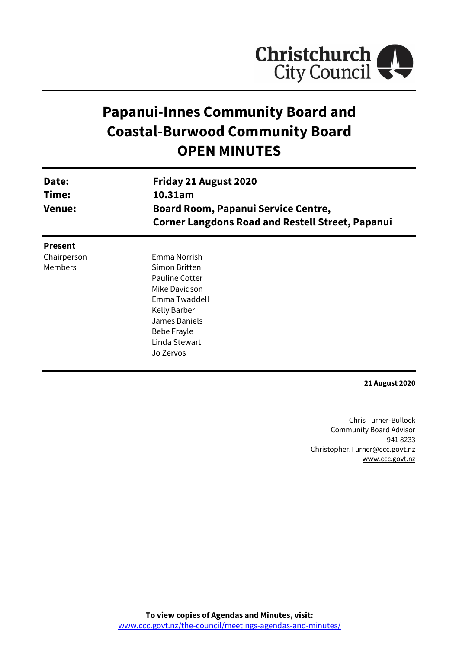

# **Papanui-Innes Community Board and Coastal-Burwood Community Board OPEN MINUTES**

| Date:<br>Time:<br><b>Venue:</b> | <b>Friday 21 August 2020</b><br>10.31am<br><b>Board Room, Papanui Service Centre,</b><br><b>Corner Langdons Road and Restell Street, Papanui</b> |
|---------------------------------|--------------------------------------------------------------------------------------------------------------------------------------------------|
| <b>Present</b>                  |                                                                                                                                                  |
| Chairperson                     | Emma Norrish                                                                                                                                     |
| <b>Members</b>                  | Simon Britten                                                                                                                                    |
|                                 | <b>Pauline Cotter</b>                                                                                                                            |
|                                 | Mike Davidson                                                                                                                                    |
|                                 | Emma Twaddell                                                                                                                                    |
|                                 | Kelly Barber                                                                                                                                     |
|                                 | James Daniels                                                                                                                                    |
|                                 | Bebe Frayle                                                                                                                                      |
|                                 | Linda Stewart                                                                                                                                    |
|                                 | Jo Zervos                                                                                                                                        |
|                                 |                                                                                                                                                  |

**21 August 2020**

Chris Turner-Bullock Community Board Advisor 941 8233 Christopher.Turner@ccc.govt.nz [www.ccc.govt.nz](http://www.ccc.govt.nz/)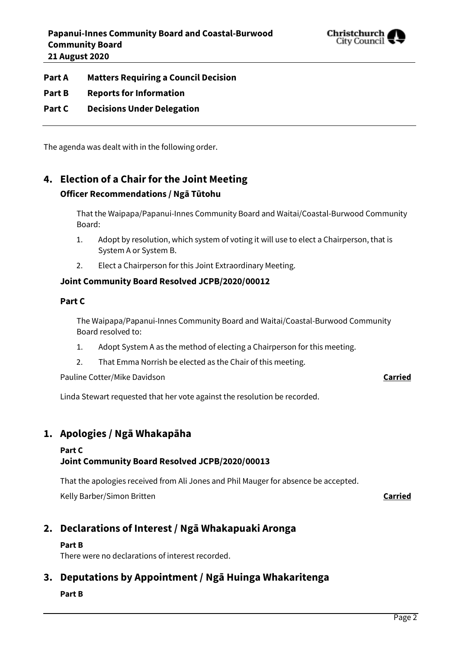

## **Part A Matters Requiring a Council Decision**

- **Part B Reports for Information**
- **Part C Decisions Under Delegation**

The agenda was dealt with in the following order.

# **4. Election of a Chair for the Joint Meeting**

#### **Officer Recommendations / Ngā Tūtohu**

That the Waipapa/Papanui-Innes Community Board and Waitai/Coastal-Burwood Community Board:

- 1. Adopt by resolution, which system of voting it will use to elect a Chairperson, that is System A or System B.
- 2. Elect a Chairperson for this Joint Extraordinary Meeting.

#### **Joint Community Board Resolved JCPB/2020/00012**

#### **Part C**

The Waipapa/Papanui-Innes Community Board and Waitai/Coastal-Burwood Community Board resolved to:

- 1. Adopt System A as the method of electing a Chairperson for this meeting.
- 2. That Emma Norrish be elected as the Chair of this meeting.

Pauline Cotter/Mike Davidson **Carried**

Linda Stewart requested that her vote against the resolution be recorded.

# **1. Apologies / Ngā Whakapāha**

#### **Part C**

## **Joint Community Board Resolved JCPB/2020/00013**

That the apologies received from Ali Jones and Phil Mauger for absence be accepted.

Kelly Barber/Simon Britten **Carried**

# **2. Declarations of Interest / Ngā Whakapuaki Aronga**

#### **Part B**

There were no declarations of interest recorded.

# **3. Deputations by Appointment / Ngā Huinga Whakaritenga**

**Part B**